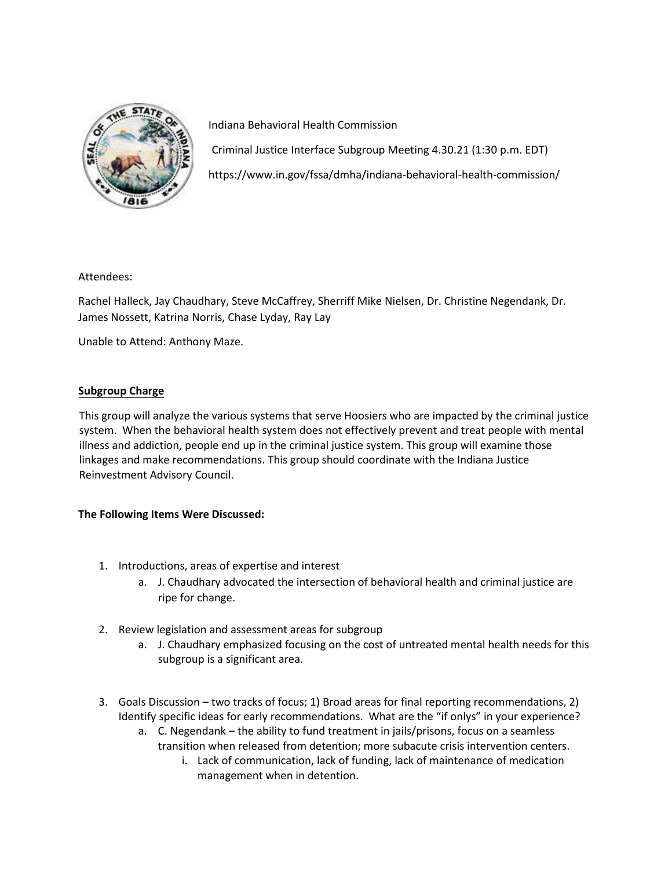

Indiana Behavioral Health Commission Criminal Justice Interface Subgroup Meeting 4.30.21 (1:30 p.m. EDT) https://www.in.gov/fssa/dmha/indiana-behavioral-health-commission/

Attendees:

Rachel Halleck, Jay Chaudhary, Steve McCaffrey, Sherriff Mike Nielsen, Dr. Christine Negendank, Dr. James Nossett, Katrina Norris, Chase Lyday, Ray Lay

Unable to Attend: Anthony Maze.

## **Subgroup Charge**

This group will analyze the various systems that serve Hoosiers who are impacted by the criminal justice system. When the behavioral health system does not effectively prevent and treat people with mental illness and addiction, people end up in the criminal justice system. This group will examine those linkages and make recommendations. This group should coordinate with the Indiana Justice Reinvestment Advisory Council.

### **The Following Items Were Discussed:**

- 1. Introductions, areas of expertise and interest
	- a. J. Chaudhary advocated the intersection of behavioral health and criminal justice are ripe for change.
- 2. Review legislation and assessment areas for subgroup
	- a. J. Chaudhary emphasized focusing on the cost of untreated mental health needs for this subgroup is a significant area.
- 3. Goals Discussion two tracks of focus; 1) Broad areas for final reporting recommendations, 2) Identify specific ideas for early recommendations. What are the "if onlys" in your experience?
	- a. C. Negendank the ability to fund treatment in jails/prisons, focus on a seamless transition when released from detention; more subacute crisis intervention centers.
		- i. Lack of communication, lack of funding, lack of maintenance of medication management when in detention.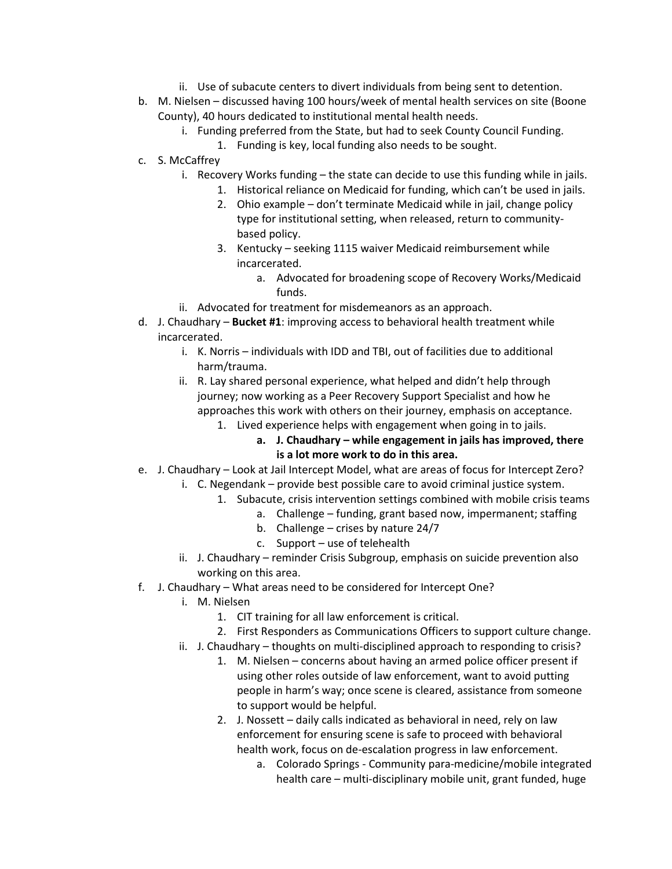- ii. Use of subacute centers to divert individuals from being sent to detention.
- b. M. Nielsen discussed having 100 hours/week of mental health services on site (Boone County), 40 hours dedicated to institutional mental health needs.
	- i. Funding preferred from the State, but had to seek County Council Funding.
		- 1. Funding is key, local funding also needs to be sought.
- c. S. McCaffrey
	- i. Recovery Works funding the state can decide to use this funding while in jails.
		- 1. Historical reliance on Medicaid for funding, which can't be used in jails.
			- 2. Ohio example don't terminate Medicaid while in jail, change policy type for institutional setting, when released, return to communitybased policy.
		- 3. Kentucky seeking 1115 waiver Medicaid reimbursement while incarcerated.
			- a. Advocated for broadening scope of Recovery Works/Medicaid funds.
	- ii. Advocated for treatment for misdemeanors as an approach.
- d. J. Chaudhary **Bucket #1**: improving access to behavioral health treatment while incarcerated.
	- i. K. Norris individuals with IDD and TBI, out of facilities due to additional harm/trauma.
	- ii. R. Lay shared personal experience, what helped and didn't help through journey; now working as a Peer Recovery Support Specialist and how he approaches this work with others on their journey, emphasis on acceptance.
		- 1. Lived experience helps with engagement when going in to jails.
			- **a. J. Chaudhary while engagement in jails has improved, there is a lot more work to do in this area.**
- e. J. Chaudhary Look at Jail Intercept Model, what are areas of focus for Intercept Zero?
	- i. C. Negendank provide best possible care to avoid criminal justice system.
		- 1. Subacute, crisis intervention settings combined with mobile crisis teams
			- a. Challenge funding, grant based now, impermanent; staffing
			- b. Challenge crises by nature 24/7
			- c. Support use of telehealth
		- ii. J. Chaudhary reminder Crisis Subgroup, emphasis on suicide prevention also working on this area.
- f. J. Chaudhary What areas need to be considered for Intercept One?
	- i. M. Nielsen
		- 1. CIT training for all law enforcement is critical.
		- 2. First Responders as Communications Officers to support culture change.
	- ii. J. Chaudhary thoughts on multi-disciplined approach to responding to crisis?
		- 1. M. Nielsen concerns about having an armed police officer present if using other roles outside of law enforcement, want to avoid putting people in harm's way; once scene is cleared, assistance from someone to support would be helpful.
		- 2. J. Nossett daily calls indicated as behavioral in need, rely on law enforcement for ensuring scene is safe to proceed with behavioral health work, focus on de-escalation progress in law enforcement.
			- a. Colorado Springs Community para-medicine/mobile integrated health care – multi-disciplinary mobile unit, grant funded, huge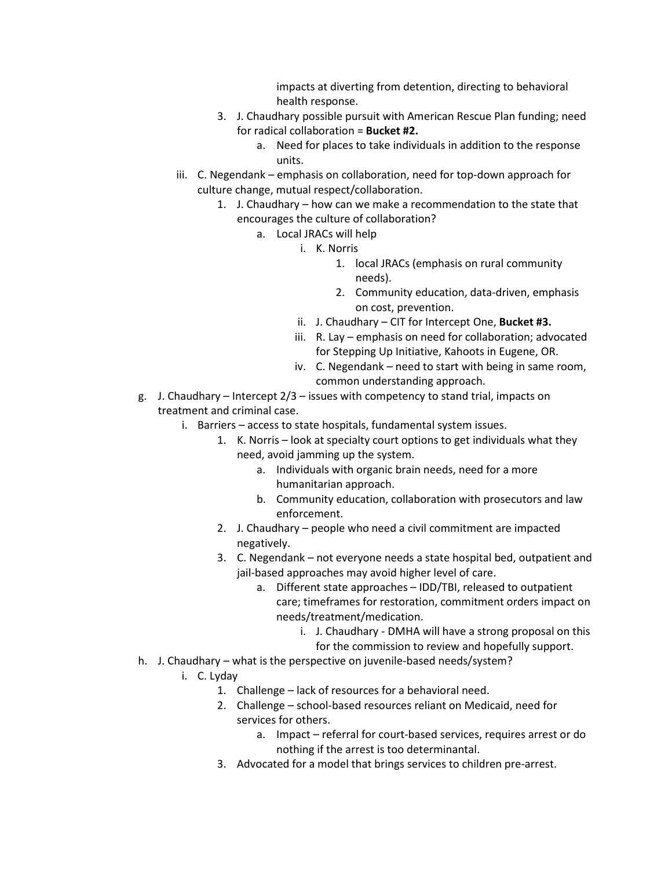impacts at diverting from detention, directing to behavioral health response.

- 3. J. Chaudhary possible pursuit with American Rescue Plan funding; need for radical collaboration = **Bucket #2.** 
	- a. Need for places to take individuals in addition to the response units.
- iii. C. Negendank emphasis on collaboration, need for top-down approach for culture change, mutual respect/collaboration.
	- 1. J. Chaudhary how can we make a recommendation to the state that encourages the culture of collaboration?
		- a. Local JRACs will help
			- i. K. Norris
				- 1. local JRACs (emphasis on rural community needs).
				- 2. Community education, data-driven, emphasis on cost, prevention.
			- ii. J. Chaudhary CIT for Intercept One, **Bucket #3.**
			- iii. R. Lay emphasis on need for collaboration; advocated for Stepping Up Initiative, Kahoots in Eugene, OR.
			- iv. C. Negendank need to start with being in same room, common understanding approach.
- g. J. Chaudhary Intercept 2/3 issues with competency to stand trial, impacts on treatment and criminal case.
	- i. Barriers access to state hospitals, fundamental system issues.
		- 1. K. Norris look at specialty court options to get individuals what they need, avoid jamming up the system.
			- a. Individuals with organic brain needs, need for a more humanitarian approach.
			- b. Community education, collaboration with prosecutors and law enforcement.
		- 2. J. Chaudhary people who need a civil commitment are impacted negatively.
		- 3. C. Negendank not everyone needs a state hospital bed, outpatient and jail-based approaches may avoid higher level of care.
			- a. Different state approaches IDD/TBI, released to outpatient care; timeframes for restoration, commitment orders impact on needs/treatment/medication.
				- i. J. Chaudhary DMHA will have a strong proposal on this
					- for the commission to review and hopefully support.
- h. J. Chaudhary what is the perspective on juvenile-based needs/system?
	- i. C. Lyday
		- 1. Challenge lack of resources for a behavioral need.
		- 2. Challenge school-based resources reliant on Medicaid, need for services for others.
			- a. Impact referral for court-based services, requires arrest or do nothing if the arrest is too determinantal.
		- 3. Advocated for a model that brings services to children pre-arrest.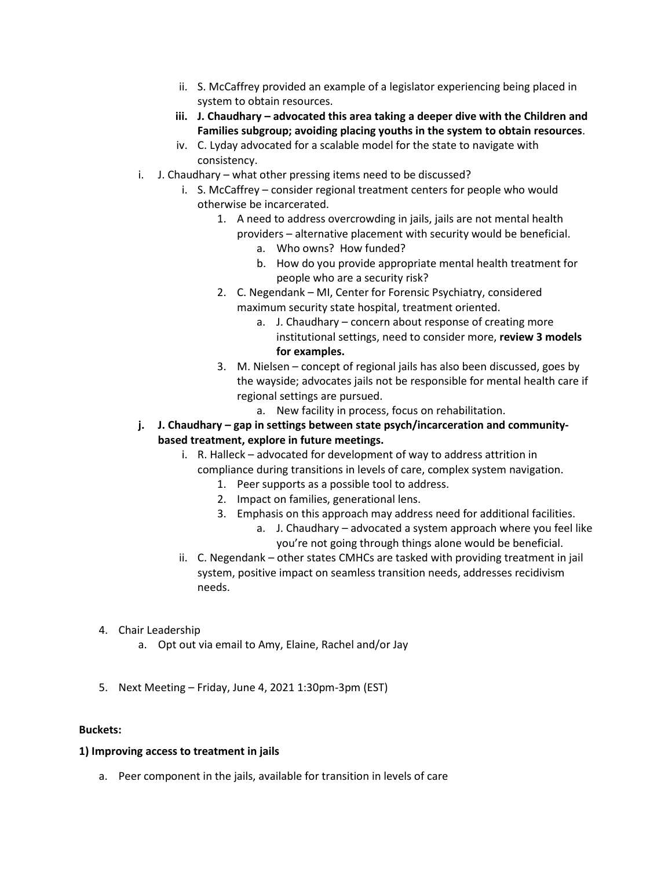- ii. S. McCaffrey provided an example of a legislator experiencing being placed in system to obtain resources.
- **iii. J. Chaudhary advocated this area taking a deeper dive with the Children and Families subgroup; avoiding placing youths in the system to obtain resources**.
- iv. C. Lyday advocated for a scalable model for the state to navigate with consistency.
- i. J. Chaudhary what other pressing items need to be discussed?
	- i. S. McCaffrey consider regional treatment centers for people who would otherwise be incarcerated.
		- 1. A need to address overcrowding in jails, jails are not mental health
			- providers alternative placement with security would be beneficial. a. Who owns? How funded?
				- b. How do you provide appropriate mental health treatment for people who are a security risk?
		- 2. C. Negendank MI, Center for Forensic Psychiatry, considered maximum security state hospital, treatment oriented.
			- a. J. Chaudhary concern about response of creating more institutional settings, need to consider more, **review 3 models for examples.**
		- 3. M. Nielsen concept of regional jails has also been discussed, goes by the wayside; advocates jails not be responsible for mental health care if regional settings are pursued.
			- a. New facility in process, focus on rehabilitation.
- **j. J. Chaudhary gap in settings between state psych/incarceration and communitybased treatment, explore in future meetings.** 
	- i. R. Halleck advocated for development of way to address attrition in compliance during transitions in levels of care, complex system navigation.
		- 1. Peer supports as a possible tool to address.
		- 2. Impact on families, generational lens.
		- 3. Emphasis on this approach may address need for additional facilities.
			- a. J. Chaudhary advocated a system approach where you feel like you're not going through things alone would be beneficial.
	- ii. C. Negendank other states CMHCs are tasked with providing treatment in jail system, positive impact on seamless transition needs, addresses recidivism needs.
- 4. Chair Leadership
	- a. Opt out via email to Amy, Elaine, Rachel and/or Jay
- 5. Next Meeting Friday, June 4, 2021 1:30pm-3pm (EST)

### **Buckets:**

### **1) Improving access to treatment in jails**

a. Peer component in the jails, available for transition in levels of care